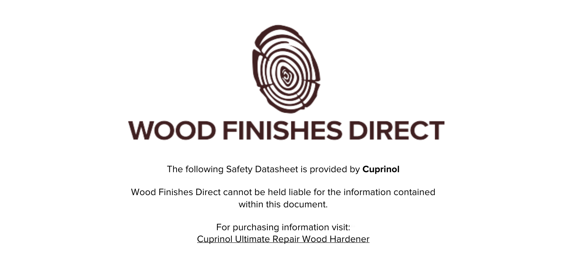

The following Safety Datasheet is provided by **Cuprinol**

Wood Finishes Direct cannot be held liable for the information contained within this document

> For purchasing information visit: [Cuprinol Ultimate Repair Wood Hardener](https://www.wood-finishes-direct.com/product/cuprinol-ultimate-repair-wood-hardener)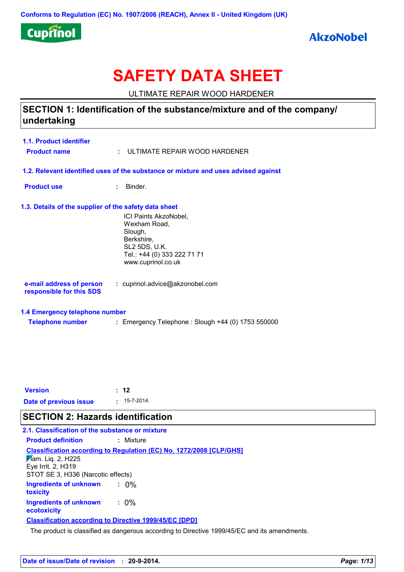

# **SAFETY DATA SHEET**

ULTIMATE REPAIR WOOD HARDENER

## SECTION 1: Identification of the substance/mixture and of the company/ undertaking

| <b>1.1. Product identifier</b> |                                                                                    |
|--------------------------------|------------------------------------------------------------------------------------|
| <b>Product name</b>            | $:$ ULTIMATE REPAIR WOOD HARDENER                                                  |
|                                | 1.2. Relevant identified uses of the substance or mixture and uses advised against |

**Product use** : Binder.

### 1.3. Details of the supplier of the safety data sheet

ICI Paints AkzoNobel, Wexham Road, Slough, Berkshire, **SL2 5DS, U.K.** Tel.: +44 (0) 333 222 71 71 www.cuprinol.co.uk

e-mail address of person : cuprinol.advice@akzonobel.com responsible for this SDS

### 1.4 Emergency telephone number

| <b>Telephone number</b> | : Emergency Telephone : Slough +44 (0) 1753 550000 |
|-------------------------|----------------------------------------------------|
|-------------------------|----------------------------------------------------|

| <b>Version</b>         | $\div$ 12          |
|------------------------|--------------------|
| Date of previous issue | $: 15 - 7 - 2014.$ |

## **SECTION 2: Hazards identification**

| 2.1. Classification of the substance or mixture                                           |                                                                            |  |  |  |
|-------------------------------------------------------------------------------------------|----------------------------------------------------------------------------|--|--|--|
| <b>Product definition</b>                                                                 | : Mixture                                                                  |  |  |  |
| $\cancel{F}$ am. Liq. 2, H225<br>Eye Irrit. 2, H319<br>STOT SE 3, H336 (Narcotic effects) | <b>Classification according to Regulation (EC) No. 1272/2008 [CLP/GHS]</b> |  |  |  |
| <b>Ingredients of unknown</b><br>toxicity                                                 | $: 0\%$                                                                    |  |  |  |
| <b>Ingredients of unknown</b><br>ecotoxicity                                              | $: 0\%$                                                                    |  |  |  |
| <b>Classification according to Directive 1999/45/EC [DPD]</b>                             |                                                                            |  |  |  |
|                                                                                           |                                                                            |  |  |  |

The product is classified as dangerous according to Directive 1999/45/EC and its amendments.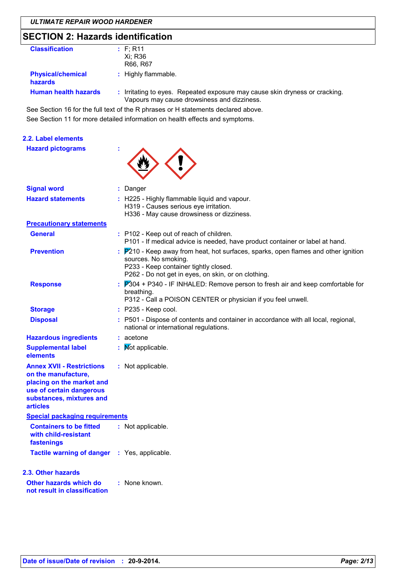## **SECTION 2: Hazards identification**

| <b>Classification</b>                      | : F; R11<br>Xi; R36<br>R66, R67                                                                                            |
|--------------------------------------------|----------------------------------------------------------------------------------------------------------------------------|
| <b>Physical/chemical</b><br><b>hazards</b> | : Highly flammable.                                                                                                        |
| <b>Human health hazards</b>                | : Irritating to eyes. Repeated exposure may cause skin dryness or cracking.<br>Vapours may cause drowsiness and dizziness. |

See Section 16 for the full text of the R phrases or H statements declared above. See Section 11 for more detailed information on health effects and symptoms.

### 2.2. Label elements

**Hazard pictograms** 



| <u>Signal word</u>                                                                                                                                              | : Danger                                                                                                                                                                                                   |  |
|-----------------------------------------------------------------------------------------------------------------------------------------------------------------|------------------------------------------------------------------------------------------------------------------------------------------------------------------------------------------------------------|--|
| <b>Hazard statements</b>                                                                                                                                        | : H225 - Highly flammable liquid and vapour.<br>H319 - Causes serious eye irritation.<br>H336 - May cause drowsiness or dizziness.                                                                         |  |
| <b>Precautionary statements</b>                                                                                                                                 |                                                                                                                                                                                                            |  |
| General                                                                                                                                                         | : P102 - Keep out of reach of children.<br>P101 - If medical advice is needed, have product container or label at hand.                                                                                    |  |
| <b>Prevention</b>                                                                                                                                               | : P210 - Keep away from heat, hot surfaces, sparks, open flames and other ignition<br>sources. No smoking.<br>P233 - Keep container tightly closed.<br>P262 - Do not get in eyes, on skin, or on clothing. |  |
| <b>Response</b>                                                                                                                                                 | : P304 + P340 - IF INHALED: Remove person to fresh air and keep comfortable for<br>breathing.<br>P312 - Call a POISON CENTER or physician if you feel unwell.                                              |  |
| <b>Storage</b>                                                                                                                                                  | : P235 - Keep cool.                                                                                                                                                                                        |  |
| <b>Disposal</b>                                                                                                                                                 | : P501 - Dispose of contents and container in accordance with all local, regional,<br>national or international regulations.                                                                               |  |
| <b>Hazardous ingredients</b>                                                                                                                                    | $:$ acetone                                                                                                                                                                                                |  |
| <b>Supplemental label</b><br>elements                                                                                                                           | : Mot applicable.                                                                                                                                                                                          |  |
| <b>Annex XVII - Restrictions</b><br>on the manufacture,<br>placing on the market and<br>use of certain dangerous<br>substances, mixtures and<br><b>articles</b> | : Not applicable.                                                                                                                                                                                          |  |
| <b>Special packaging requirements</b>                                                                                                                           |                                                                                                                                                                                                            |  |
| <b>Containers to be fitted</b><br>with child-resistant<br>fastenings                                                                                            | : Not applicable.                                                                                                                                                                                          |  |
| Tactile warning of danger : Yes, applicable.                                                                                                                    |                                                                                                                                                                                                            |  |
| 2.3. Other hazards                                                                                                                                              |                                                                                                                                                                                                            |  |
| Other hazards which do<br>not result in classification                                                                                                          | : None known.                                                                                                                                                                                              |  |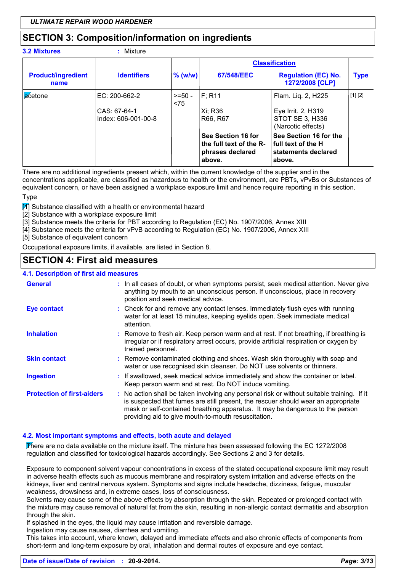## **SECTION 3: Composition/information on ingredients**

3.2 Mixtures

### $\cdot$  Mixture

|                                   |                                                      |                 |                                                                             | <b>Classification</b>                                                                 |                                                              |
|-----------------------------------|------------------------------------------------------|-----------------|-----------------------------------------------------------------------------|---------------------------------------------------------------------------------------|--------------------------------------------------------------|
| <b>Product/ingredient</b><br>name | <b>Identifiers</b>                                   | $%$ (w/w)       | 67/548/EEC                                                                  | <b>Regulation (EC) No.</b><br>1272/2008 [CLP]                                         | <b>Type</b>                                                  |
| <b>a</b> cetone                   | EC: 200-662-2<br>CAS: 67-64-1<br>Index: 606-001-00-8 | $>=50-$<br>< 75 | IF: R11<br>Xi; R36<br> R66, R67                                             | Flam. Liq. 2, H225<br>Eye Irrit. 2, H319<br>STOT SE 3, H336<br>(Narcotic effects)     | $\left[ \begin{smallmatrix} 1 \end{smallmatrix} \right]$ [2] |
|                                   |                                                      |                 | See Section 16 for<br>the full text of the R-<br>phrases declared<br>above. | See Section 16 for the<br><b>Ifull text of the H</b><br>statements declared<br>above. |                                                              |

There are no additional ingredients present which, within the current knowledge of the supplier and in the concentrations applicable, are classified as hazardous to health or the environment, are PBTs, vPvBs or Substances of equivalent concern, or have been assigned a workplace exposure limit and hence require reporting in this section.

Type

**Z** Substance classified with a health or environmental hazard

[2] Substance with a workplace exposure limit

[3] Substance meets the criteria for PBT according to Regulation (EC) No. 1907/2006. Annex XIII

[4] Substance meets the criteria for vPvB according to Regulation (EC) No. 1907/2006, Annex XIII

[5] Substance of equivalent concern

Occupational exposure limits, if available, are listed in Section 8.

## **SECTION 4: First aid measures**

### 11 Description of first aid measures

| Doognpuch of mot and mododi ou    |                                                                                                                                                                                                                                                                                                                         |
|-----------------------------------|-------------------------------------------------------------------------------------------------------------------------------------------------------------------------------------------------------------------------------------------------------------------------------------------------------------------------|
| <b>General</b>                    | : In all cases of doubt, or when symptoms persist, seek medical attention. Never give<br>anything by mouth to an unconscious person. If unconscious, place in recovery<br>position and seek medical advice.                                                                                                             |
| <b>Eye contact</b>                | : Check for and remove any contact lenses. Immediately flush eyes with running<br>water for at least 15 minutes, keeping eyelids open. Seek immediate medical<br>attention.                                                                                                                                             |
| <b>Inhalation</b>                 | : Remove to fresh air. Keep person warm and at rest. If not breathing, if breathing is<br>irregular or if respiratory arrest occurs, provide artificial respiration or oxygen by<br>trained personnel.                                                                                                                  |
| <b>Skin contact</b>               | : Remove contaminated clothing and shoes. Wash skin thoroughly with soap and<br>water or use recognised skin cleanser. Do NOT use solvents or thinners.                                                                                                                                                                 |
| <b>Ingestion</b>                  | : If swallowed, seek medical advice immediately and show the container or label.<br>Keep person warm and at rest. Do NOT induce vomiting.                                                                                                                                                                               |
| <b>Protection of first-aiders</b> | : No action shall be taken involving any personal risk or without suitable training. If it<br>is suspected that fumes are still present, the rescuer should wear an appropriate<br>mask or self-contained breathing apparatus. It may be dangerous to the person<br>providing aid to give mouth-to-mouth resuscitation. |

### 4.2. Most important symptoms and effects, both acute and delayed

There are no data available on the mixture itself. The mixture has been assessed following the EC 1272/2008 requlation and classified for toxicological hazards accordingly. See Sections 2 and 3 for details.

Exposure to component solvent vapour concentrations in excess of the stated occupational exposure limit may result in adverse health effects such as mucous membrane and respiratory system irritation and adverse effects on the kidneys, liver and central nervous system. Symptoms and signs include headache, dizziness, fatigue, muscular weakness, drowsiness and, in extreme cases, loss of consciousness,

Solvents may cause some of the above effects by absorption through the skin. Repeated or prolonged contact with the mixture may cause removal of natural fat from the skin, resulting in non-allergic contact dermatitis and absorption through the skin.

If splashed in the eyes, the liquid may cause irritation and reversible damage.

Ingestion may cause nausea, diarrhea and vomiting.

This takes into account, where known, delayed and immediate effects and also chronic effects of components from short-term and long-term exposure by oral, inhalation and dermal routes of exposure and eve contact.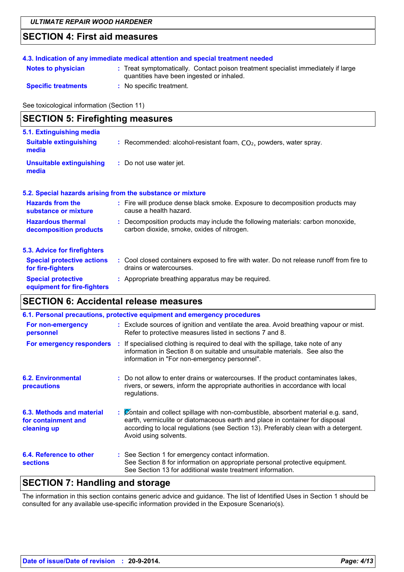## **SECTION 4: First aid measures**

### 4.3. Indication of any immediate medical attention and special treatment needed

- : Treat symptomatically. Contact poison treatment specialist immediately if large quantities have been ingested or inhaled.
- **Specific treatments**

**Notes to physician** 

: No specific treatment.

See toxicological information (Section 11)

## **SECTION 5: Firefighting measures**

| 5.1. Extinguishing media<br><b>Suitable extinguishing</b><br>media | : Recommended: alcohol-resistant foam, $CO2$ , powders, water spray. |
|--------------------------------------------------------------------|----------------------------------------------------------------------|
| Unsuitable extinguishing<br>media                                  | : Do not use water jet.                                              |

### 5.2. Special hazards arising from the substance or mixture

| <b>Hazards from the</b><br>substance or mixture    | : Fire will produce dense black smoke. Exposure to decomposition products may<br>cause a health hazard.                      |  |
|----------------------------------------------------|------------------------------------------------------------------------------------------------------------------------------|--|
| <b>Hazardous thermal</b><br>decomposition products | : Decomposition products may include the following materials: carbon monoxide,<br>carbon dioxide, smoke, oxides of nitrogen. |  |
| 5.3. Advice for firefighters                       |                                                                                                                              |  |

| <b>Special protective actions</b><br>for fire-fighters   | Cool closed containers exposed to fire with water. Do not release runoff from fire to<br>drains or watercourses. |
|----------------------------------------------------------|------------------------------------------------------------------------------------------------------------------|
| <b>Special protective</b><br>equipment for fire-fighters | : Appropriate breathing apparatus may be required.                                                               |

## **SECTION 6: Accidental release measures**

| 6.1. Personal precautions, protective equipment and emergency procedures |  |                                                                                                                                                                                                                                                                                    |
|--------------------------------------------------------------------------|--|------------------------------------------------------------------------------------------------------------------------------------------------------------------------------------------------------------------------------------------------------------------------------------|
| For non-emergency<br>personnel                                           |  | : Exclude sources of ignition and ventilate the area. Avoid breathing vapour or mist.<br>Refer to protective measures listed in sections 7 and 8.                                                                                                                                  |
| For emergency responders                                                 |  | : If specialised clothing is required to deal with the spillage, take note of any<br>information in Section 8 on suitable and unsuitable materials. See also the<br>information in "For non-emergency personnel".                                                                  |
| <b>6.2. Environmental</b><br>precautions                                 |  | : Do not allow to enter drains or watercourses. If the product contaminates lakes,<br>rivers, or sewers, inform the appropriate authorities in accordance with local<br>regulations.                                                                                               |
| 6.3. Methods and material<br>for containment and<br>cleaning up          |  | : Contain and collect spillage with non-combustible, absorbent material e.g. sand,<br>earth, vermiculite or diatomaceous earth and place in container for disposal<br>according to local regulations (see Section 13). Preferably clean with a detergent.<br>Avoid using solvents. |
| 6.4. Reference to other<br><b>sections</b>                               |  | : See Section 1 for emergency contact information.<br>See Section 8 for information on appropriate personal protective equipment.<br>See Section 13 for additional waste treatment information.                                                                                    |

## **SECTION 7: Handling and storage**

The information in this section contains generic advice and guidance. The list of Identified Uses in Section 1 should be consulted for any available use-specific information provided in the Exposure Scenario(s).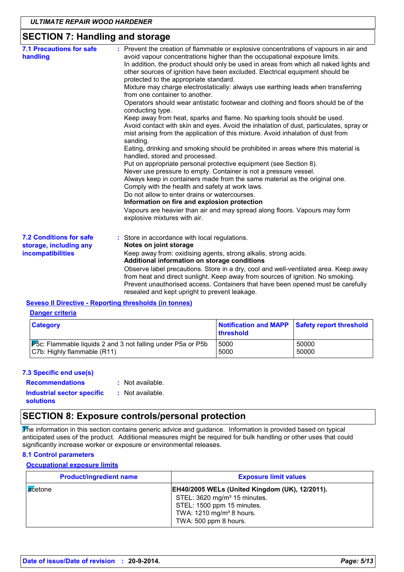## **SECTION 7: Handling and storage**

| <b>7.1 Precautions for safe</b><br>handling                                   | : Prevent the creation of flammable or explosive concentrations of vapours in air and<br>avoid vapour concentrations higher than the occupational exposure limits.<br>In addition, the product should only be used in areas from which all naked lights and<br>other sources of ignition have been excluded. Electrical equipment should be<br>protected to the appropriate standard.<br>Mixture may charge electrostatically: always use earthing leads when transferring<br>from one container to another.<br>Operators should wear antistatic footwear and clothing and floors should be of the<br>conducting type.<br>Keep away from heat, sparks and flame. No sparking tools should be used.<br>Avoid contact with skin and eyes. Avoid the inhalation of dust, particulates, spray or<br>mist arising from the application of this mixture. Avoid inhalation of dust from<br>sanding.<br>Eating, drinking and smoking should be prohibited in areas where this material is<br>handled, stored and processed.<br>Put on appropriate personal protective equipment (see Section 8).<br>Never use pressure to empty. Container is not a pressure vessel.<br>Always keep in containers made from the same material as the original one.<br>Comply with the health and safety at work laws.<br>Do not allow to enter drains or watercourses.<br>Information on fire and explosion protection<br>Vapours are heavier than air and may spread along floors. Vapours may form<br>explosive mixtures with air. |
|-------------------------------------------------------------------------------|--------------------------------------------------------------------------------------------------------------------------------------------------------------------------------------------------------------------------------------------------------------------------------------------------------------------------------------------------------------------------------------------------------------------------------------------------------------------------------------------------------------------------------------------------------------------------------------------------------------------------------------------------------------------------------------------------------------------------------------------------------------------------------------------------------------------------------------------------------------------------------------------------------------------------------------------------------------------------------------------------------------------------------------------------------------------------------------------------------------------------------------------------------------------------------------------------------------------------------------------------------------------------------------------------------------------------------------------------------------------------------------------------------------------------------------------------------------------------------------------------------------|
| <b>7.2 Conditions for safe</b><br>storage, including any<br>incompatibilities | : Store in accordance with local regulations.<br>Notes on joint storage<br>Keep away from: oxidising agents, strong alkalis, strong acids.<br>Additional information on storage conditions<br>Observe label precautions. Store in a dry, cool and well-ventilated area. Keep away<br>from heat and direct sunlight. Keep away from sources of ignition. No smoking.<br>Prevent unauthorised access. Containers that have been opened must be carefully<br>resealed and kept upright to prevent leakage.                                                                                                                                                                                                                                                                                                                                                                                                                                                                                                                                                                                                                                                                                                                                                                                                                                                                                                                                                                                                      |

### **Seveso II Directive - Reporting thresholds (in tonnes)**

### **Danger criteria**

| <b>Category</b>                                                     | Notification and MAPP Safety report threshold<br>threshold |       |
|---------------------------------------------------------------------|------------------------------------------------------------|-------|
| <b>P</b> 5c: Flammable liquids 2 and 3 not falling under P5a or P5b | 5000                                                       | 50000 |
| C7b: Highly flammable (R11)                                         | 5000                                                       | 50000 |

### 7.3 Specific end use(s)

: Not available.

**Recommendations Industrial sector specific** solutions

### : Not available.

## **SECTION 8: Exposure controls/personal protection**

The information in this section contains generic advice and guidance. Information is provided based on typical anticipated uses of the product. Additional measures might be required for bulk handling or other uses that could significantly increase worker or exposure or environmental releases.

### **8.1 Control parameters**

### **Occupational exposure limits**

| <b>Product/ingredient name</b> | <b>Exposure limit values</b>                                                                                                                                                                     |
|--------------------------------|--------------------------------------------------------------------------------------------------------------------------------------------------------------------------------------------------|
| <b>a</b> cetone                | <b>EH40/2005 WELs (United Kingdom (UK), 12/2011).</b><br>STEL: 3620 mg/m <sup>3</sup> 15 minutes.<br>STEL: 1500 ppm 15 minutes.<br>TWA: 1210 mg/m <sup>3</sup> 8 hours.<br>TWA: 500 ppm 8 hours. |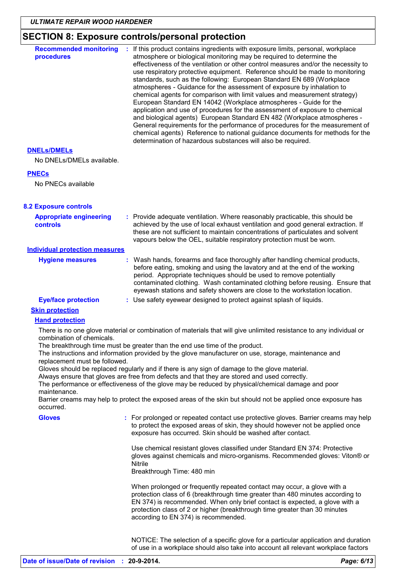## SECTION 8: Exposure controls/personal protection

| <b>Recommended monitoring</b><br>procedures                                | : If this product contains ingredients with exposure limits, personal, workplace<br>atmosphere or biological monitoring may be required to determine the<br>effectiveness of the ventilation or other control measures and/or the necessity to<br>use respiratory protective equipment. Reference should be made to monitoring<br>standards, such as the following: European Standard EN 689 (Workplace<br>atmospheres - Guidance for the assessment of exposure by inhalation to<br>chemical agents for comparison with limit values and measurement strategy)<br>European Standard EN 14042 (Workplace atmospheres - Guide for the<br>application and use of procedures for the assessment of exposure to chemical<br>and biological agents) European Standard EN 482 (Workplace atmospheres -<br>General requirements for the performance of procedures for the measurement of<br>chemical agents) Reference to national guidance documents for methods for the<br>determination of hazardous substances will also be required. |  |
|----------------------------------------------------------------------------|------------------------------------------------------------------------------------------------------------------------------------------------------------------------------------------------------------------------------------------------------------------------------------------------------------------------------------------------------------------------------------------------------------------------------------------------------------------------------------------------------------------------------------------------------------------------------------------------------------------------------------------------------------------------------------------------------------------------------------------------------------------------------------------------------------------------------------------------------------------------------------------------------------------------------------------------------------------------------------------------------------------------------------|--|
| <b>DNELS/DMELS</b>                                                         |                                                                                                                                                                                                                                                                                                                                                                                                                                                                                                                                                                                                                                                                                                                                                                                                                                                                                                                                                                                                                                    |  |
| No DNELs/DMELs available.                                                  |                                                                                                                                                                                                                                                                                                                                                                                                                                                                                                                                                                                                                                                                                                                                                                                                                                                                                                                                                                                                                                    |  |
| <b>PNECs</b>                                                               |                                                                                                                                                                                                                                                                                                                                                                                                                                                                                                                                                                                                                                                                                                                                                                                                                                                                                                                                                                                                                                    |  |
| No PNECs available                                                         |                                                                                                                                                                                                                                                                                                                                                                                                                                                                                                                                                                                                                                                                                                                                                                                                                                                                                                                                                                                                                                    |  |
| <b>8.2 Exposure controls</b>                                               |                                                                                                                                                                                                                                                                                                                                                                                                                                                                                                                                                                                                                                                                                                                                                                                                                                                                                                                                                                                                                                    |  |
| <b>Appropriate engineering</b><br><b>controls</b>                          | : Provide adequate ventilation. Where reasonably practicable, this should be<br>achieved by the use of local exhaust ventilation and good general extraction. If<br>these are not sufficient to maintain concentrations of particulates and solvent<br>vapours below the OEL, suitable respiratory protection must be worn.                                                                                                                                                                                                                                                                                                                                                                                                                                                                                                                                                                                                                                                                                                        |  |
| <b>Individual protection measures</b>                                      |                                                                                                                                                                                                                                                                                                                                                                                                                                                                                                                                                                                                                                                                                                                                                                                                                                                                                                                                                                                                                                    |  |
| <b>Hygiene measures</b>                                                    | Wash hands, forearms and face thoroughly after handling chemical products,<br>before eating, smoking and using the lavatory and at the end of the working<br>period. Appropriate techniques should be used to remove potentially<br>contaminated clothing. Wash contaminated clothing before reusing. Ensure that<br>eyewash stations and safety showers are close to the workstation location.                                                                                                                                                                                                                                                                                                                                                                                                                                                                                                                                                                                                                                    |  |
| <b>Eye/face protection</b>                                                 | : Use safety eyewear designed to protect against splash of liquids.                                                                                                                                                                                                                                                                                                                                                                                                                                                                                                                                                                                                                                                                                                                                                                                                                                                                                                                                                                |  |
| <b>Skin protection</b>                                                     |                                                                                                                                                                                                                                                                                                                                                                                                                                                                                                                                                                                                                                                                                                                                                                                                                                                                                                                                                                                                                                    |  |
| <b>Hand protection</b>                                                     |                                                                                                                                                                                                                                                                                                                                                                                                                                                                                                                                                                                                                                                                                                                                                                                                                                                                                                                                                                                                                                    |  |
| combination of chemicals.<br>replacement must be followed.<br>maintenance. | There is no one glove material or combination of materials that will give unlimited resistance to any individual or<br>The breakthrough time must be greater than the end use time of the product.<br>The instructions and information provided by the glove manufacturer on use, storage, maintenance and<br>Gloves should be replaced regularly and if there is any sign of damage to the glove material.<br>Always ensure that gloves are free from defects and that they are stored and used correctly.<br>The performance or effectiveness of the glove may be reduced by physical/chemical damage and poor<br>Barrier creams may help to protect the exposed areas of the skin but should not be applied once exposure has                                                                                                                                                                                                                                                                                                   |  |
| occurred.                                                                  |                                                                                                                                                                                                                                                                                                                                                                                                                                                                                                                                                                                                                                                                                                                                                                                                                                                                                                                                                                                                                                    |  |
| <b>Gloves</b>                                                              | : For prolonged or repeated contact use protective gloves. Barrier creams may help<br>to protect the exposed areas of skin, they should however not be applied once<br>exposure has occurred. Skin should be washed after contact.                                                                                                                                                                                                                                                                                                                                                                                                                                                                                                                                                                                                                                                                                                                                                                                                 |  |
|                                                                            | Use chemical resistant gloves classified under Standard EN 374: Protective<br>gloves against chemicals and micro-organisms. Recommended gloves: Viton® or<br>Nitrile<br>Breakthrough Time: 480 min                                                                                                                                                                                                                                                                                                                                                                                                                                                                                                                                                                                                                                                                                                                                                                                                                                 |  |
|                                                                            | When prolonged or frequently repeated contact may occur, a glove with a<br>protection class of 6 (breakthrough time greater than 480 minutes according to<br>EN 374) is recommended. When only brief contact is expected, a glove with a<br>protection class of 2 or higher (breakthrough time greater than 30 minutes<br>according to EN 374) is recommended.                                                                                                                                                                                                                                                                                                                                                                                                                                                                                                                                                                                                                                                                     |  |
|                                                                            | NOTICE: The selection of a specific glove for a particular application and duration<br>of use in a workplace should also take into account all relevant workplace factors                                                                                                                                                                                                                                                                                                                                                                                                                                                                                                                                                                                                                                                                                                                                                                                                                                                          |  |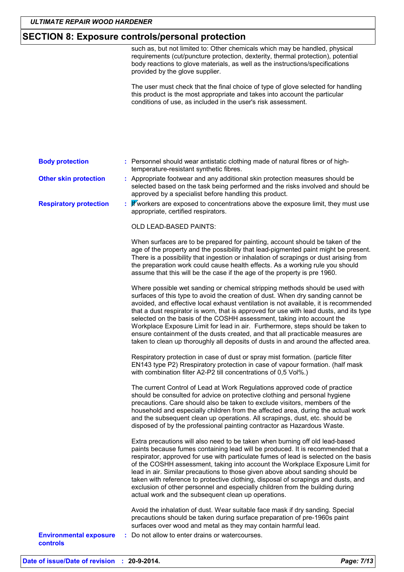### **SECTION 8: Exposure controls/personal protection**

such as, but not limited to: Other chemicals which may be handled, physical requirements (cut/puncture protection, dexterity, thermal protection), potential body reactions to glove materials, as well as the instructions/specifications provided by the glove supplier.

The user must check that the final choice of type of glove selected for handling this product is the most appropriate and takes into account the particular conditions of use, as included in the user's risk assessment.

#### **Body protection** : Personnel should wear antistatic clothing made of natural fibres or of hightemperature-resistant synthetic fibres.

: Appropriate footwear and any additional skin protection measures should be **Other skin protection** selected based on the task being performed and the risks involved and should be approved by a specialist before handling this product.

Wworkers are exposed to concentrations above the exposure limit, they must use **Respiratory protection** appropriate, certified respirators.

OLD LEAD-BASED PAINTS:

When surfaces are to be prepared for painting, account should be taken of the age of the property and the possibility that lead-pigmented paint might be present. There is a possibility that ingestion or inhalation of scrapings or dust arising from the preparation work could cause health effects. As a working rule you should assume that this will be the case if the age of the property is pre 1960.

Where possible wet sanding or chemical stripping methods should be used with surfaces of this type to avoid the creation of dust. When dry sanding cannot be avoided, and effective local exhaust ventilation is not available, it is recommended that a dust respirator is worn, that is approved for use with lead dusts, and its type selected on the basis of the COSHH assessment, taking into account the Workplace Exposure Limit for lead in air. Furthermore, steps should be taken to ensure containment of the dusts created, and that all practicable measures are taken to clean up thoroughly all deposits of dusts in and around the affected area.

Respiratory protection in case of dust or spray mist formation. (particle filter EN143 type P2) Rrespiratory protection in case of vapour formation. (half mask with combination filter A2-P2 till concentrations of 0,5 Vol%.)

The current Control of Lead at Work Regulations approved code of practice should be consulted for advice on protective clothing and personal hygiene precautions. Care should also be taken to exclude visitors, members of the household and especially children from the affected area, during the actual work and the subsequent clean up operations. All scrapings, dust, etc. should be disposed of by the professional painting contractor as Hazardous Waste.

Extra precautions will also need to be taken when burning off old lead-based paints because fumes containing lead will be produced. It is recommended that a respirator, approved for use with particulate fumes of lead is selected on the basis of the COSHH assessment, taking into account the Workplace Exposure Limit for lead in air. Similar precautions to those given above about sanding should be taken with reference to protective clothing, disposal of scrapings and dusts, and exclusion of other personnel and especially children from the building during actual work and the subsequent clean up operations.

Avoid the inhalation of dust. Wear suitable face mask if dry sanding. Special precautions should be taken during surface preparation of pre-1960s paint surfaces over wood and metal as they may contain harmful lead.

**Environmental exposure** controls

: Do not allow to enter drains or watercourses.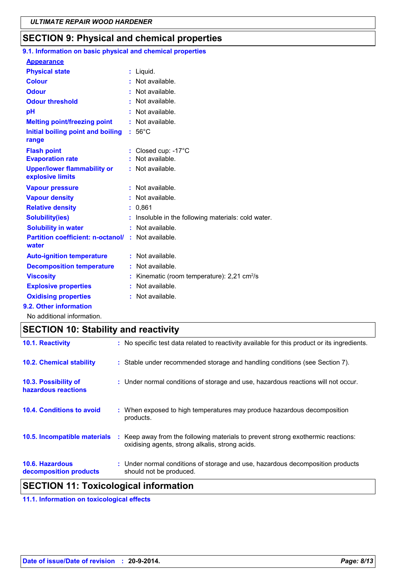## $|\mathsf{SECTION}\ 9$ : Physical and chemical properties

| 9.1. Information on basic physical and chemical properties |                                                       |
|------------------------------------------------------------|-------------------------------------------------------|
| <b>Appearance</b>                                          |                                                       |
| <b>Physical state</b>                                      | : Liquid.                                             |
| <b>Colour</b>                                              | Not available.                                        |
| <b>Odour</b>                                               | : Not available.                                      |
| <b>Odour threshold</b>                                     | : Not available.                                      |
| pH                                                         | : Not available.                                      |
| <b>Melting point/freezing point</b>                        | : Not available.                                      |
| Initial boiling point and boiling<br>range                 | $:56^{\circ}$ C                                       |
| <b>Flash point</b>                                         | Closed cup: -17°C                                     |
| <b>Evaporation rate</b>                                    | Not available.                                        |
| <b>Upper/lower flammability or</b><br>explosive limits     | : Not available.                                      |
| <b>Vapour pressure</b>                                     | : Not available.                                      |
| <b>Vapour density</b>                                      | : Not available.                                      |
| <b>Relative density</b>                                    | 0.861                                                 |
| <b>Solubility(ies)</b>                                     | Insoluble in the following materials: cold water.     |
| <b>Solubility in water</b>                                 | Not available.                                        |
| <b>Partition coefficient: n-octanol/</b><br>water          | : Not available.                                      |
| <b>Auto-ignition temperature</b>                           | : Not available.                                      |
| <b>Decomposition temperature</b>                           | : Not available.                                      |
| <b>Viscosity</b>                                           | Kinematic (room temperature): 2,21 cm <sup>2</sup> /s |
| <b>Explosive properties</b>                                | : Not available.                                      |
| <b>Oxidising properties</b>                                | Not available.                                        |
| 9.2. Other information                                     |                                                       |
|                                                            |                                                       |

No additional information.

## **SECTION 10: Stability and reactivity**

| <b>SECTION 11: Toxicological information</b> |  |                                                                                                                                     |  |
|----------------------------------------------|--|-------------------------------------------------------------------------------------------------------------------------------------|--|
| 10.6. Hazardous<br>decomposition products    |  | : Under normal conditions of storage and use, hazardous decomposition products<br>should not be produced.                           |  |
| 10.5. Incompatible materials                 |  | : Keep away from the following materials to prevent strong exothermic reactions:<br>oxidising agents, strong alkalis, strong acids. |  |
| 10.4. Conditions to avoid                    |  | : When exposed to high temperatures may produce hazardous decomposition<br>products.                                                |  |
| 10.3. Possibility of<br>hazardous reactions  |  | : Under normal conditions of storage and use, hazardous reactions will not occur.                                                   |  |
| <b>10.2. Chemical stability</b>              |  | : Stable under recommended storage and handling conditions (see Section 7).                                                         |  |
| 10.1. Reactivity                             |  | : No specific test data related to reactivity available for this product or its ingredients.                                        |  |

### 11.1. Information on toxicological effects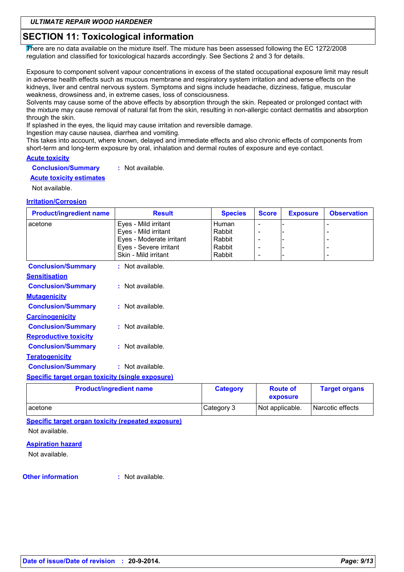## **SECTION 11: Toxicological information**

There are no data available on the mixture itself. The mixture has been assessed following the EC 1272/2008 regulation and classified for toxicological hazards accordingly. See Sections 2 and 3 for details.

Exposure to component solvent vapour concentrations in excess of the stated occupational exposure limit may result in adverse health effects such as mucous membrane and respiratory system irritation and adverse effects on the kidneys, liver and central nervous system. Symptoms and signs include headache, dizziness, fatigue, muscular weakness, drowsiness and, in extreme cases, loss of consciousness.

Solvents may cause some of the above effects by absorption through the skin. Repeated or prolonged contact with the mixture may cause removal of natural fat from the skin, resulting in non-allergic contact dermatitis and absorption through the skin.

If splashed in the eyes, the liquid may cause irritation and reversible damage.

Ingestion may cause nausea, diarrhea and vomiting.

This takes into account, where known, delayed and immediate effects and also chronic effects of components from short-term and long-term exposure by oral, inhalation and dermal routes of exposure and eye contact.

### **Acute toxicity**

**Conclusion/Summary** : Not available.

**Acute toxicity estimates** 

Not available.

### **Irritation/Corrosion**

| <b>Product/ingredient name</b>                          | <b>Result</b>            | <b>Species</b>  | <b>Score</b>             | <b>Exposure</b> | <b>Observation</b>   |
|---------------------------------------------------------|--------------------------|-----------------|--------------------------|-----------------|----------------------|
| acetone                                                 | Eyes - Mild irritant     | <b>Human</b>    |                          |                 | ٠                    |
|                                                         | Eyes - Mild irritant     | Rabbit          |                          |                 |                      |
|                                                         | Eyes - Moderate irritant | Rabbit          |                          |                 |                      |
|                                                         | Eyes - Severe irritant   | Rabbit          |                          |                 |                      |
|                                                         | Skin - Mild irritant     | Rabbit          | $\overline{\phantom{a}}$ |                 | ٠                    |
| <b>Conclusion/Summary</b>                               | : Not available.         |                 |                          |                 |                      |
| <b>Sensitisation</b>                                    |                          |                 |                          |                 |                      |
| <b>Conclusion/Summary</b>                               | : Not available.         |                 |                          |                 |                      |
| <b>Mutagenicity</b>                                     |                          |                 |                          |                 |                      |
| <b>Conclusion/Summary</b>                               | : Not available.         |                 |                          |                 |                      |
| <b>Carcinogenicity</b>                                  |                          |                 |                          |                 |                      |
| <b>Conclusion/Summary</b>                               | : Not available.         |                 |                          |                 |                      |
| <b>Reproductive toxicity</b>                            |                          |                 |                          |                 |                      |
| <b>Conclusion/Summary</b>                               | $:$ Not available.       |                 |                          |                 |                      |
| <b>Teratogenicity</b>                                   |                          |                 |                          |                 |                      |
| <b>Conclusion/Summary</b>                               | : Not available.         |                 |                          |                 |                      |
| <b>Specific target organ toxicity (single exposure)</b> |                          |                 |                          |                 |                      |
| <b>Product/ingredient name</b>                          |                          | <b>Category</b> |                          | <b>Route of</b> | <b>Target organs</b> |

|           |            | exposure        |                  |
|-----------|------------|-----------------|------------------|
| l acetone | Category 3 | Not applicable. | Narcotic effects |
|           |            |                 |                  |

Specific target organ toxicity (repeated exposure)

Not available.

### **Aspiration hazard**

Not available.

### **Other information**

: Not available.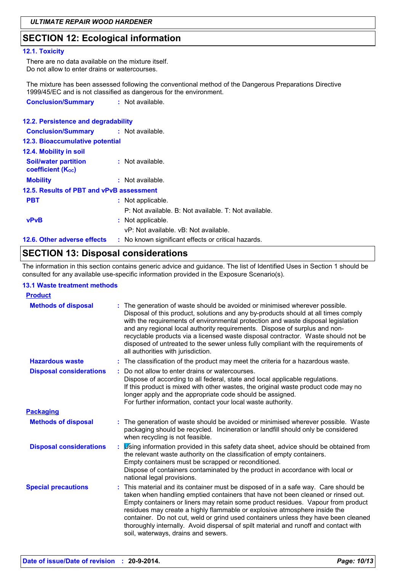## **SECTION 12: Ecological information**

### 12.1. Toxicity

There are no data available on the mixture itself. Do not allow to enter drains or watercourses.

The mixture has been assessed following the conventional method of the Dangerous Preparations Directive 1999/45/EC and is not classified as dangerous for the environment. **Conclusion/Summary** : Not available.

| 12.2. Persistence and degradability                     |                                                       |
|---------------------------------------------------------|-------------------------------------------------------|
| <b>Conclusion/Summary : Not available.</b>              |                                                       |
| 12.3. Bioaccumulative potential                         |                                                       |
| 12.4. Mobility in soil                                  |                                                       |
| <b>Soil/water partition</b><br><b>coefficient (Koc)</b> | : Not available.                                      |
| <b>Mobility</b>                                         | $:$ Not available.                                    |
| 12.5. Results of PBT and vPvB assessment                |                                                       |
| <b>PBT</b>                                              | : Not applicable.                                     |
|                                                         | P: Not available. B: Not available. T: Not available. |
| <b>vPvB</b>                                             | : Not applicable.                                     |
|                                                         | vP: Not available, vB: Not available.                 |
| 12.6. Other adverse effects                             | : No known significant effects or critical hazards.   |

## **SECTION 13: Disposal considerations**

The information in this section contains generic advice and guidance. The list of Identified Uses in Section 1 should be consulted for any available use-specific information provided in the Exposure Scenario(s).

### **13.1 Waste treatment methods**

| <b>Product</b>                 |    |                                                                                                                                                                                                                                                                                                                                                                                                                                                                                                                                                               |
|--------------------------------|----|---------------------------------------------------------------------------------------------------------------------------------------------------------------------------------------------------------------------------------------------------------------------------------------------------------------------------------------------------------------------------------------------------------------------------------------------------------------------------------------------------------------------------------------------------------------|
| <b>Methods of disposal</b>     |    | The generation of waste should be avoided or minimised wherever possible.<br>Disposal of this product, solutions and any by-products should at all times comply<br>with the requirements of environmental protection and waste disposal legislation<br>and any regional local authority requirements. Dispose of surplus and non-<br>recyclable products via a licensed waste disposal contractor. Waste should not be<br>disposed of untreated to the sewer unless fully compliant with the requirements of<br>all authorities with jurisdiction.            |
| <b>Hazardous waste</b>         |    | : The classification of the product may meet the criteria for a hazardous waste.                                                                                                                                                                                                                                                                                                                                                                                                                                                                              |
| <b>Disposal considerations</b> |    | : Do not allow to enter drains or watercourses.<br>Dispose of according to all federal, state and local applicable regulations.<br>If this product is mixed with other wastes, the original waste product code may no<br>longer apply and the appropriate code should be assigned.<br>For further information, contact your local waste authority.                                                                                                                                                                                                            |
| <b>Packaging</b>               |    |                                                                                                                                                                                                                                                                                                                                                                                                                                                                                                                                                               |
| <b>Methods of disposal</b>     |    | The generation of waste should be avoided or minimised wherever possible. Waste<br>packaging should be recycled. Incineration or landfill should only be considered<br>when recycling is not feasible.                                                                                                                                                                                                                                                                                                                                                        |
| <b>Disposal considerations</b> | ÷. | Using information provided in this safety data sheet, advice should be obtained from<br>the relevant waste authority on the classification of empty containers.<br>Empty containers must be scrapped or reconditioned.<br>Dispose of containers contaminated by the product in accordance with local or<br>national legal provisions.                                                                                                                                                                                                                         |
| <b>Special precautions</b>     |    | : This material and its container must be disposed of in a safe way. Care should be<br>taken when handling emptied containers that have not been cleaned or rinsed out.<br>Empty containers or liners may retain some product residues. Vapour from product<br>residues may create a highly flammable or explosive atmosphere inside the<br>container. Do not cut, weld or grind used containers unless they have been cleaned<br>thoroughly internally. Avoid dispersal of spilt material and runoff and contact with<br>soil, waterways, drains and sewers. |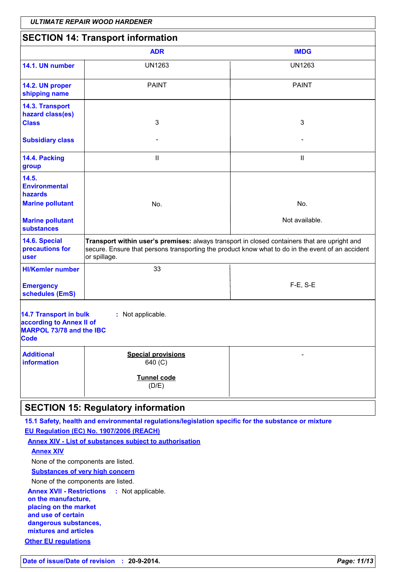|                                                                                                                           | <b>ULTIMATE REPAIR WOOD HARDENER</b>                                                                                                                                                                              |                |  |  |
|---------------------------------------------------------------------------------------------------------------------------|-------------------------------------------------------------------------------------------------------------------------------------------------------------------------------------------------------------------|----------------|--|--|
| <b>SECTION 14: Transport information</b>                                                                                  |                                                                                                                                                                                                                   |                |  |  |
|                                                                                                                           | <b>ADR</b>                                                                                                                                                                                                        | <b>IMDG</b>    |  |  |
| 14.1. UN number                                                                                                           | <b>UN1263</b>                                                                                                                                                                                                     | <b>UN1263</b>  |  |  |
| 14.2. UN proper<br>shipping name                                                                                          | <b>PAINT</b>                                                                                                                                                                                                      | <b>PAINT</b>   |  |  |
| 14.3. Transport<br>hazard class(es)<br><b>Class</b>                                                                       | 3                                                                                                                                                                                                                 | 3              |  |  |
| <b>Subsidiary class</b>                                                                                                   |                                                                                                                                                                                                                   |                |  |  |
| 14.4. Packing<br>group                                                                                                    | Ш                                                                                                                                                                                                                 | Ш              |  |  |
| 14.5.<br><b>Environmental</b><br>hazards<br><b>Marine pollutant</b>                                                       | No.                                                                                                                                                                                                               | No.            |  |  |
| <b>Marine pollutant</b><br><b>substances</b>                                                                              |                                                                                                                                                                                                                   | Not available. |  |  |
| 14.6. Special<br>precautions for<br>user                                                                                  | Transport within user's premises: always transport in closed containers that are upright and<br>secure. Ensure that persons transporting the product know what to do in the event of an accident<br>or spillage.  |                |  |  |
| <b>HI/Kemler number</b>                                                                                                   | 33                                                                                                                                                                                                                |                |  |  |
| <b>Emergency</b><br>schedules (EmS)                                                                                       |                                                                                                                                                                                                                   | $F-E$ , S-E    |  |  |
| 14.7 Transport in bulk<br>: Not applicable.<br>according to Annex II of<br><b>MARPOL 73/78 and the IBC</b><br><b>Code</b> |                                                                                                                                                                                                                   |                |  |  |
| <b>Additional</b><br>information                                                                                          | <b>Special provisions</b><br>640 (C)                                                                                                                                                                              |                |  |  |
|                                                                                                                           | Tunnel code<br>(D/E)                                                                                                                                                                                              |                |  |  |
| <b>SECTION 15: Regulatory information</b>                                                                                 |                                                                                                                                                                                                                   |                |  |  |
| <b>Annex XIV</b><br>Nano of the componente are listed                                                                     | 15.1 Safety, health and environmental regulations/legislation specific for the substance or mixture<br>EU Regulation (EC) No. 1907/2006 (REACH)<br><b>Annex XIV - List of substances subject to authorisation</b> |                |  |  |

None of the components are listed. **Substances of very high concern** 

None of the components are listed.

Annex XVII - Restrictions : Not applicable. on the manufacture, placing on the market and use of certain dangerous substances, mixtures and articles **Other EU regulations**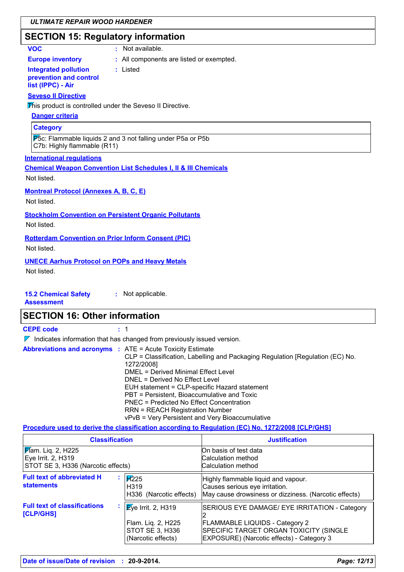## **SECTION 15: Regulatory information**

### **VOC**

: Not available.

**Europe inventory** 

### : All components are listed or exempted.

**Integrated pollution** prevention and control list (IPPC) - Air

: Listed

### **Seveso II Directive**

This product is controlled under the Seveso II Directive.

## **Danger criteria**

**Category** 

P5c: Flammable liquids 2 and 3 not falling under P5a or P5b C7b: Highly flammable (R11)

### **International regulations**

**Chemical Weapon Convention List Schedules I, II & III Chemicals** 

Not listed

**Montreal Protocol (Annexes A, B, C, E)** 

Not listed.

**Stockholm Convention on Persistent Organic Pollutants** 

Not listed.

**Rotterdam Convention on Prior Inform Consent (PIC)** 

Not listed.

### **UNECE Aarhus Protocol on POPs and Heavy Metals**

Not listed.

#### **15.2 Chemical Safety** : Not applicable.

**Assessment** 

## **SECTION 16: Other information**

**CEPE code** 

 $\pm$  1

 $\nabla$  Indicates information that has changed from previously issued version.

|  | <b>Abbreviations and acronyms : ATE = Acute Toxicity Estimate</b>             |
|--|-------------------------------------------------------------------------------|
|  | CLP = Classification, Labelling and Packaging Regulation [Regulation (EC) No. |
|  | 1272/2008]                                                                    |
|  | DMEL = Derived Minimal Effect Level                                           |
|  | DNEL = Derived No Effect Level                                                |
|  | EUH statement = CLP-specific Hazard statement                                 |
|  | PBT = Persistent, Bioaccumulative and Toxic                                   |
|  | PNEC = Predicted No Effect Concentration                                      |
|  | <b>RRN = REACH Registration Number</b>                                        |
|  | $vDvD = V/cR$ Dereistent and $Vcn$ Diegoeumulative                            |

vPvB = Very Persistent and Very Bioaccumulative

### Procedure used to derive the classification according to Regulation (EC) No. 1272/2008 [CLP/GHS]

| <b>Classification</b>                                                                  |                                                                                   | <b>Justification</b>                                                                                                                                                          |
|----------------------------------------------------------------------------------------|-----------------------------------------------------------------------------------|-------------------------------------------------------------------------------------------------------------------------------------------------------------------------------|
| <b>F</b> lam. Liq. 2, H225<br>Eye Irrit. 2, H319<br>STOT SE 3, H336 (Narcotic effects) |                                                                                   | On basis of test data<br>Calculation method<br>Calculation method                                                                                                             |
| <b>Full text of abbreviated H</b><br><b>statements</b>                                 | $\cancel{17225}$<br>H <sub>3</sub> 19<br>H336 (Narcotic effects)                  | Highly flammable liquid and vapour.<br>Causes serious eye irritation.<br>May cause drowsiness or dizziness. (Narcotic effects)                                                |
| <b>Full text of classifications</b><br>[CLP/GHS]                                       | Eye Irrit. 2, H319<br>Flam. Lig. 2, H225<br>STOT SE 3, H336<br>(Narcotic effects) | SERIOUS EYE DAMAGE/ EYE IRRITATION - Category<br><b>FLAMMABLE LIQUIDS - Category 2</b><br>SPECIFIC TARGET ORGAN TOXICITY (SINGLE<br>EXPOSURE) (Narcotic effects) - Category 3 |